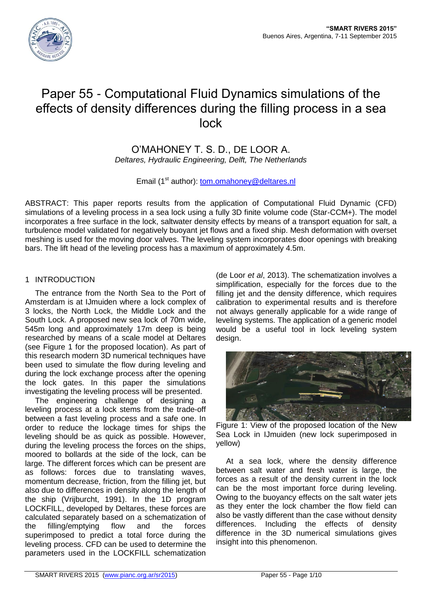

# Paper 55 - Computational Fluid Dynamics simulations of the effects of density differences during the filling process in a sea lock

O'MAHONEY T. S. D., DE LOOR A. *Deltares, Hydraulic Engineering, Delft, The Netherlands*

Email (1<sup>st</sup> author): [tom.omahoney@d](mailto:tom.omahoney@)eltares.nl

ABSTRACT: This paper reports results from the application of Computational Fluid Dynamic (CFD) simulations of a leveling process in a sea lock using a fully 3D finite volume code (Star-CCM+). The model incorporates a free surface in the lock, saltwater density effects by means of a transport equation for salt, a turbulence model validated for negatively buoyant jet flows and a fixed ship. Mesh deformation with overset meshing is used for the moving door valves. The leveling system incorporates door openings with breaking bars. The lift head of the leveling process has a maximum of approximately 4.5m.

# 1 INTRODUCTION

The entrance from the North Sea to the Port of Amsterdam is at IJmuiden where a lock complex of 3 locks, the North Lock, the Middle Lock and the South Lock. A proposed new sea lock of 70m wide, 545m long and approximately 17m deep is being researched by means of a scale model at Deltares (see Figure 1 for the proposed location). As part of this research modern 3D numerical techniques have been used to simulate the flow during leveling and during the lock exchange process after the opening the lock gates. In this paper the simulations investigating the leveling process will be presented.

The engineering challenge of designing a leveling process at a lock stems from the trade-off between a fast leveling process and a safe one. In order to reduce the lockage times for ships the leveling should be as quick as possible. However, during the leveling process the forces on the ships, moored to bollards at the side of the lock, can be large. The different forces which can be present are as follows: forces due to translating waves, momentum decrease, friction, from the filling jet, but also due to differences in density along the length of the ship (Vrijburcht, 1991). In the 1D program LOCKFILL, developed by Deltares, these forces are calculated separately based on a schematization of the filling/emptying flow and the forces superimposed to predict a total force during the leveling process. CFD can be used to determine the parameters used in the LOCKFILL schematization

(de Loor *et al*, 2013). The schematization involves a simplification, especially for the forces due to the filling jet and the density difference, which requires calibration to experimental results and is therefore not always generally applicable for a wide range of leveling systems. The application of a generic model would be a useful tool in lock leveling system design.



Figure 1: View of the proposed location of the New Sea Lock in IJmuiden (new lock superimposed in yellow)

At a sea lock, where the density difference between salt water and fresh water is large, the forces as a result of the density current in the lock can be the most important force during leveling. Owing to the buoyancy effects on the salt water jets as they enter the lock chamber the flow field can also be vastly different than the case without density differences. Including the effects of density difference in the 3D numerical simulations gives insight into this phenomenon.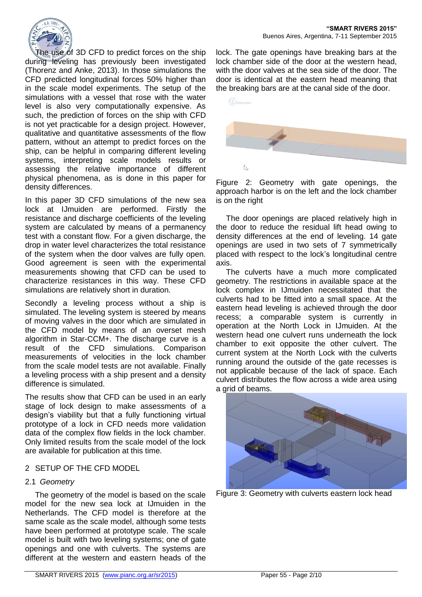

The use of 3D CFD to predict forces on the ship during leveling has previously been investigated (Thorenz and Anke, 2013). In those simulations the CFD predicted longitudinal forces 50% higher than in the scale model experiments. The setup of the simulations with a vessel that rose with the water level is also very computationally expensive. As such, the prediction of forces on the ship with CFD is not yet practicable for a design project. However, qualitative and quantitative assessments of the flow pattern, without an attempt to predict forces on the ship, can be helpful in comparing different leveling systems, interpreting scale models results or assessing the relative importance of different physical phenomena, as is done in this paper for density differences.

In this paper 3D CFD simulations of the new sea lock at IJmuiden are performed. Firstly the resistance and discharge coefficients of the leveling system are calculated by means of a permanency test with a constant flow. For a given discharge, the drop in water level characterizes the total resistance of the system when the door valves are fully open. Good agreement is seen with the experimental measurements showing that CFD can be used to characterize resistances in this way. These CFD simulations are relatively short in duration.

Secondly a leveling process without a ship is simulated. The leveling system is steered by means of moving valves in the door which are simulated in the CFD model by means of an overset mesh algorithm in Star-CCM+. The discharge curve is a result of the CFD simulations. Comparison measurements of velocities in the lock chamber from the scale model tests are not available. Finally a leveling process with a ship present and a density difference is simulated.

The results show that CFD can be used in an early stage of lock design to make assessments of a design's viability but that a fully functioning virtual prototype of a lock in CFD needs more validation data of the complex flow fields in the lock chamber. Only limited results from the scale model of the lock are available for publication at this time.

### 2 SETUP OF THE CFD MODEL

# 2.1 *Geometry*

The geometry of the model is based on the scale model for the new sea lock at IJmuiden in the Netherlands. The CFD model is therefore at the same scale as the scale model, although some tests have been performed at prototype scale. The scale model is built with two leveling systems; one of gate openings and one with culverts. The systems are different at the western and eastern heads of the

lock. The gate openings have breaking bars at the lock chamber side of the door at the western head, with the door valves at the sea side of the door. The door is identical at the eastern head meaning that the breaking bars are at the canal side of the door.



Figure 2: Geometry with gate openings, the approach harbor is on the left and the lock chamber is on the right

The door openings are placed relatively high in the door to reduce the residual lift head owing to density differences at the end of leveling. 14 gate openings are used in two sets of 7 symmetrically placed with respect to the lock's longitudinal centre axis.

The culverts have a much more complicated geometry. The restrictions in available space at the lock complex in IJmuiden necessitated that the culverts had to be fitted into a small space. At the eastern head leveling is achieved through the door recess; a comparable system is currently in operation at the North Lock in IJmuiden. At the western head one culvert runs underneath the lock chamber to exit opposite the other culvert. The current system at the North Lock with the culverts running around the outside of the gate recesses is not applicable because of the lack of space. Each culvert distributes the flow across a wide area using a grid of beams.



Figure 3: Geometry with culverts eastern lock head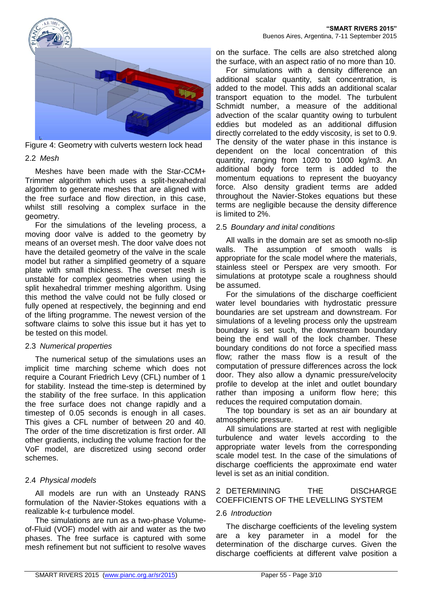

Figure 4: Geometry with culverts western lock head

## 2.2 *Mesh*

Meshes have been made with the Star-CCM+ Trimmer algorithm which uses a split-hexahedral algorithm to generate meshes that are aligned with the free surface and flow direction, in this case, whilst still resolving a complex surface in the geometry.

For the simulations of the leveling process, a moving door valve is added to the geometry by means of an overset mesh. The door valve does not have the detailed geometry of the valve in the scale model but rather a simplified geometry of a square plate with small thickness. The overset mesh is unstable for complex geometries when using the split hexahedral trimmer meshing algorithm. Using this method the valve could not be fully closed or fully opened at respectively, the beginning and end of the lifting programme. The newest version of the software claims to solve this issue but it has yet to be tested on this model.

# 2.3 *Numerical properties*

The numerical setup of the simulations uses an implicit time marching scheme which does not require a Courant Friedrich Levy (CFL) number of 1 for stability. Instead the time-step is determined by the stability of the free surface. In this application the free surface does not change rapidly and a timestep of 0.05 seconds is enough in all cases. This gives a CFL number of between 20 and 40. The order of the time discretization is first order. All other gradients, including the volume fraction for the VoF model, are discretized using second order schemes.

# 2.4 *Physical models*

All models are run with an Unsteady RANS formulation of the Navier-Stokes equations with a realizable k-ε turbulence model.

The simulations are run as a two-phase Volumeof-Fluid (VOF) model with air and water as the two phases. The free surface is captured with some mesh refinement but not sufficient to resolve waves

on the surface. The cells are also stretched along the surface, with an aspect ratio of no more than 10.

For simulations with a density difference an additional scalar quantity, salt concentration, is added to the model. This adds an additional scalar transport equation to the model. The turbulent Schmidt number, a measure of the additional advection of the scalar quantity owing to turbulent eddies but modeled as an additional diffusion directly correlated to the eddy viscosity, is set to 0.9. The density of the water phase in this instance is dependent on the local concentration of this quantity, ranging from 1020 to 1000 kg/m3. An additional body force term is added to the momentum equations to represent the buoyancy force. Also density gradient terms are added throughout the Navier-Stokes equations but these terms are negligible because the density difference is limited to 2%.

# 2.5 *Boundary and inital conditions*

All walls in the domain are set as smooth no-slip walls. The assumption of smooth walls is appropriate for the scale model where the materials, stainless steel or Perspex are very smooth. For simulations at prototype scale a roughness should be assumed.

For the simulations of the discharge coefficient water level boundaries with hydrostatic pressure boundaries are set upstream and downstream. For simulations of a leveling process only the upstream boundary is set such, the downstream boundary being the end wall of the lock chamber. These boundary conditions do not force a specified mass flow; rather the mass flow is a result of the computation of pressure differences across the lock door. They also allow a dynamic pressure/velocity profile to develop at the inlet and outlet boundary rather than imposing a uniform flow here; this reduces the required computation domain.

The top boundary is set as an air boundary at atmospheric pressure.

All simulations are started at rest with negligible turbulence and water levels according to the appropriate water levels from the corresponding scale model test. In the case of the simulations of discharge coefficients the approximate end water level is set as an initial condition.

# 2 DETERMINING THE DISCHARGE COEFFICIENTS OF THE LEVELLING SYSTEM

# 2.6 *Introduction*

The discharge coefficients of the leveling system are a key parameter in a model for the determination of the discharge curves. Given the discharge coefficients at different valve position a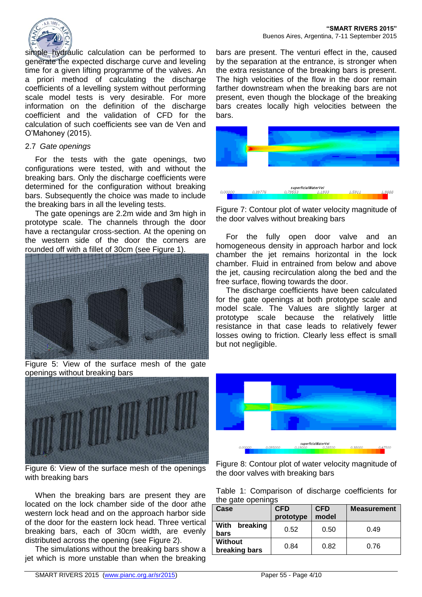

simple hydraulic calculation can be performed to generate the expected discharge curve and leveling time for a given lifting programme of the valves. An a priori method of calculating the discharge coefficients of a levelling system without performing scale model tests is very desirable. For more information on the definition of the discharge coefficient and the validation of CFD for the calculation of such coefficients see van de Ven and O'Mahoney (2015).

#### 2.7 *Gate openings*

For the tests with the gate openings, two configurations were tested, with and without the breaking bars. Only the discharge coefficients were determined for the configuration without breaking bars. Subsequently the choice was made to include the breaking bars in all the leveling tests.

The gate openings are 2.2m wide and 3m high in prototype scale. The channels through the door have a rectangular cross-section. At the opening on the western side of the door the corners are rounded off with a fillet of 30cm (see Figure 1).



Figure 5: View of the surface mesh of the gate openings without breaking bars



Figure 6: View of the surface mesh of the openings with breaking bars

When the breaking bars are present they are located on the lock chamber side of the door athe western lock head and on the approach harbor side of the door for the eastern lock head. Three vertical breaking bars, each of 30cm width, are evenly distributed across the opening (see Figure 2).

The simulations without the breaking bars show a jet which is more unstable than when the breaking

bars are present. The venturi effect in the, caused by the separation at the entrance, is stronger when the extra resistance of the breaking bars is present. The high velocities of the flow in the door remain farther downstream when the breaking bars are not present, even though the blockage of the breaking bars creates locally high velocities between the bars.



Figure 7: Contour plot of water velocity magnitude of the door valves without breaking bars

For the fully open door valve and an homogeneous density in approach harbor and lock chamber the jet remains horizontal in the lock chamber. Fluid in entrained from below and above the jet, causing recirculation along the bed and the free surface, flowing towards the door.

The discharge coefficients have been calculated for the gate openings at both prototype scale and model scale. The Values are slightly larger at prototype scale because the relatively little resistance in that case leads to relatively fewer losses owing to friction. Clearly less effect is small but not negligible.



Figure 8: Contour plot of water velocity magnitude of the door valves with breaking bars

|  | Table 1: Comparison of discharge coefficients for |  |  |
|--|---------------------------------------------------|--|--|
|  | the gate openings                                 |  |  |

| Case                            | <b>CFD</b><br>prototype | <b>CFD</b><br>model | <b>Measurement</b> |
|---------------------------------|-------------------------|---------------------|--------------------|
| breaking<br>With<br>bars        | 0.52                    | 0.50                | 0.49               |
| <b>Without</b><br>breaking bars | 0.84                    | 0.82                | 0.76               |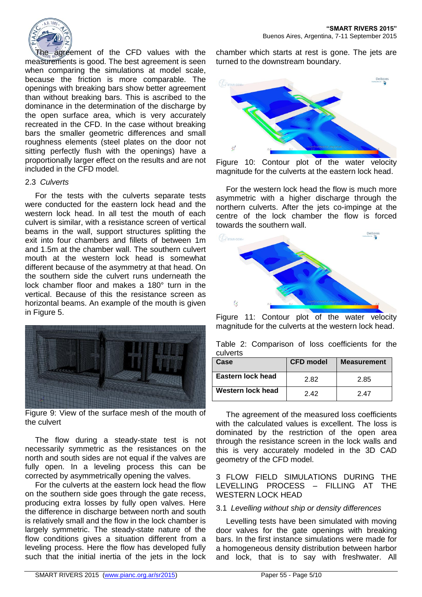

The agreement of the CFD values with the measurements is good. The best agreement is seen when comparing the simulations at model scale, because the friction is more comparable. The openings with breaking bars show better agreement than without breaking bars. This is ascribed to the dominance in the determination of the discharge by the open surface area, which is very accurately recreated in the CFD. In the case without breaking bars the smaller geometric differences and small roughness elements (steel plates on the door not sitting perfectly flush with the openings) have a proportionally larger effect on the results and are not included in the CFD model.

#### 2.3 *Culverts*

For the tests with the culverts separate tests were conducted for the eastern lock head and the western lock head. In all test the mouth of each culvert is similar, with a resistance screen of vertical beams in the wall, support structures splitting the exit into four chambers and fillets of between 1m and 1.5m at the chamber wall. The southern culvert mouth at the western lock head is somewhat different because of the asymmetry at that head. On the southern side the culvert runs underneath the lock chamber floor and makes a 180° turn in the vertical. Because of this the resistance screen as horizontal beams. An example of the mouth is given in Figure 5.



Figure 9: View of the surface mesh of the mouth of the culvert

The flow during a steady-state test is not necessarily symmetric as the resistances on the north and south sides are not equal if the valves are fully open. In a leveling process this can be corrected by asymmetrically opening the valves.

For the culverts at the eastern lock head the flow on the southern side goes through the gate recess, producing extra losses by fully open valves. Here the difference in discharge between north and south is relatively small and the flow in the lock chamber is largely symmetric. The steady-state nature of the flow conditions gives a situation different from a leveling process. Here the flow has developed fully such that the initial inertia of the jets in the lock

chamber which starts at rest is gone. The jets are turned to the downstream boundary.



Figure 10: Contour plot of the water velocity magnitude for the culverts at the eastern lock head.

For the western lock head the flow is much more asymmetric with a higher discharge through the northern culverts. After the jets co-impinge at the centre of the lock chamber the flow is forced towards the southern wall.



Figure 11: Contour plot of the water velocity magnitude for the culverts at the western lock head.

|          | Table 2: Comparison of loss coefficients for the |  |  |  |
|----------|--------------------------------------------------|--|--|--|
| culverts |                                                  |  |  |  |

| Case              | <b>CFD model</b> | <b>Measurement</b> |
|-------------------|------------------|--------------------|
| Eastern lock head | 2.82             | 2.85               |
| Western lock head | 242              | 2 47               |

The agreement of the measured loss coefficients with the calculated values is excellent. The loss is dominated by the restriction of the open area through the resistance screen in the lock walls and this is very accurately modeled in the 3D CAD geometry of the CFD model.

3 FLOW FIELD SIMULATIONS DURING THE LEVELLING PROCESS – FILLING AT THE WESTERN LOCK HEAD

#### 3.1 *Levelling without ship or density differences*

Levelling tests have been simulated with moving door valves for the gate openings with breaking bars. In the first instance simulations were made for a homogeneous density distribution between harbor and lock, that is to say with freshwater. All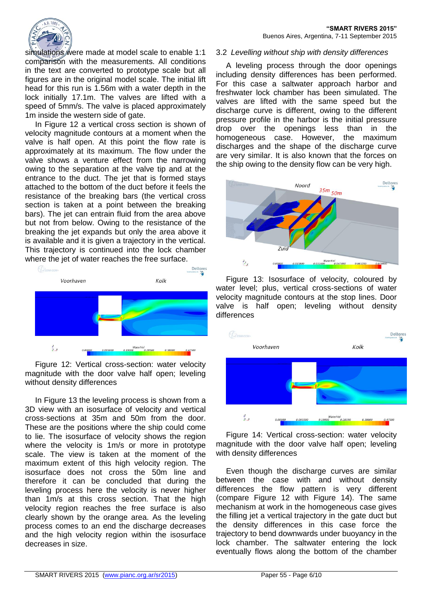

simulations were made at model scale to enable 1:1 comparison with the measurements. All conditions in the text are converted to prototype scale but all figures are in the original model scale. The initial lift head for this run is 1.56m with a water depth in the lock initially 17.1m. The valves are lifted with a speed of 5mm/s. The valve is placed approximately 1m inside the western side of gate.

In Figure 12 a vertical cross section is shown of velocity magnitude contours at a moment when the valve is half open. At this point the flow rate is approximately at its maximum. The flow under the valve shows a venture effect from the narrowing owing to the separation at the valve tip and at the entrance to the duct. The jet that is formed stays attached to the bottom of the duct before it feels the resistance of the breaking bars (the vertical cross section is taken at a point between the breaking bars). The jet can entrain fluid from the area above but not from below. Owing to the resistance of the breaking the jet expands but only the area above it is available and it is given a trajectory in the vertical. This trajectory is continued into the lock chamber where the jet of water reaches the free surface.



Figure 12: Vertical cross-section: water velocity magnitude with the door valve half open; leveling without density differences

In Figure 13 the leveling process is shown from a 3D view with an isosurface of velocity and vertical cross-sections at 35m and 50m from the door. These are the positions where the ship could come to lie. The isosurface of velocity shows the region where the velocity is 1m/s or more in prototype scale. The view is taken at the moment of the maximum extent of this high velocity region. The isosurface does not cross the 50m line and therefore it can be concluded that during the leveling process here the velocity is never higher than 1m/s at this cross section. That the high velocity region reaches the free surface is also clearly shown by the orange area. As the leveling process comes to an end the discharge decreases and the high velocity region within the isosurface decreases in size.

#### 3.2 *Levelling without ship with density differences*

A leveling process through the door openings including density differences has been performed. For this case a saltwater approach harbor and freshwater lock chamber has been simulated. The valves are lifted with the same speed but the discharge curve is different, owing to the different pressure profile in the harbor is the initial pressure drop over the openings less than in the homogeneous case. However, the maximum discharges and the shape of the discharge curve are very similar. It is also known that the forces on the ship owing to the density flow can be very high.



Figure 13: Isosurface of velocity, coloured by water level; plus, vertical cross-sections of water velocity magnitude contours at the stop lines. Door valve is half open; leveling without density differences



Figure 14: Vertical cross-section: water velocity magnitude with the door valve half open; leveling with density differences

Even though the discharge curves are similar between the case with and without density differences the flow pattern is very different (compare Figure 12 with Figure 14). The same mechanism at work in the homogeneous case gives the filling jet a vertical trajectory in the gate duct but the density differences in this case force the trajectory to bend downwards under buoyancy in the lock chamber. The saltwater entering the lock eventually flows along the bottom of the chamber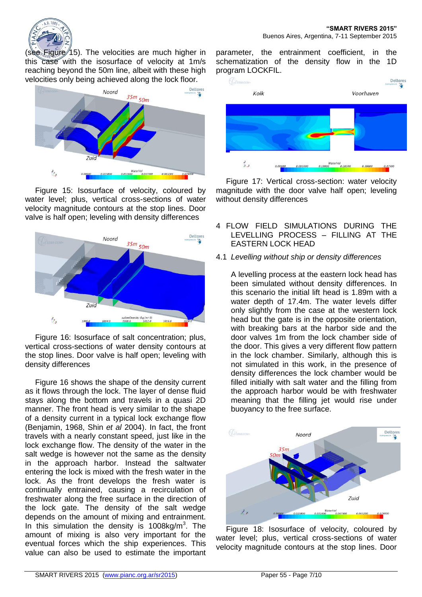

(see Figure 15). The velocities are much higher in this case with the isosurface of velocity at 1m/s reaching beyond the 50m line, albeit with these high velocities only being achieved along the lock floor.



Figure 15: Isosurface of velocity, coloured by water level; plus, vertical cross-sections of water velocity magnitude contours at the stop lines. Door valve is half open; leveling with density differences



Figure 16: Isosurface of salt concentration; plus, vertical cross-sections of water density contours at the stop lines. Door valve is half open; leveling with density differences

Figure 16 shows the shape of the density current as it flows through the lock. The layer of dense fluid stays along the bottom and travels in a quasi 2D manner. The front head is very similar to the shape of a density current in a typical lock exchange flow (Benjamin, 1968, Shin *et al* 2004). In fact, the front travels with a nearly constant speed, just like in the lock exchange flow. The density of the water in the salt wedge is however not the same as the density in the approach harbor. Instead the saltwater entering the lock is mixed with the fresh water in the lock. As the front develops the fresh water is continually entrained, causing a recirculation of freshwater along the free surface in the direction of the lock gate. The density of the salt wedge depends on the amount of mixing and entrainment. In this simulation the density is  $1008\text{kg/m}^3$ . The amount of mixing is also very important for the eventual forces which the ship experiences. This value can also be used to estimate the important

parameter, the entrainment coefficient, in the schematization of the density flow in the 1D program LOCKFIL.



Figure 17: Vertical cross-section: water velocity magnitude with the door valve half open; leveling without density differences

- 4 FLOW FIELD SIMULATIONS DURING THE LEVELLING PROCESS – FILLING AT THE EASTERN LOCK HEAD
- 4.1 *Levelling without ship or density differences*

A levelling process at the eastern lock head has been simulated without density differences. In this scenario the initial lift head is 1.89m with a water depth of 17.4m. The water levels differ only slightly from the case at the western lock head but the gate is in the opposite orientation, with breaking bars at the harbor side and the door valves 1m from the lock chamber side of the door. This gives a very different flow pattern in the lock chamber. Similarly, although this is not simulated in this work, in the presence of density differences the lock chamber would be filled initially with salt water and the filling from the approach harbor would be with freshwater meaning that the filling jet would rise under buoyancy to the free surface.



Figure 18: Isosurface of velocity, coloured by water level; plus, vertical cross-sections of water velocity magnitude contours at the stop lines. Door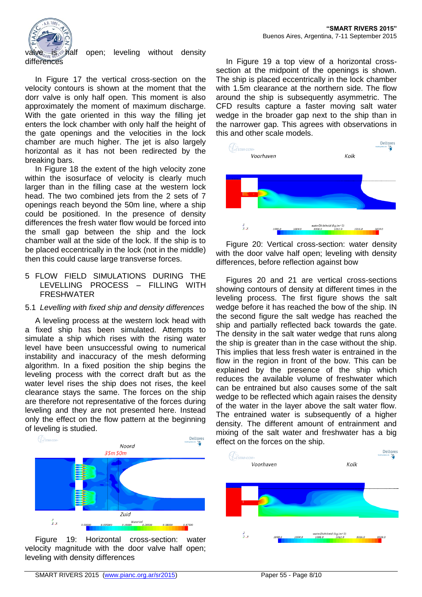

valve is  $\frac{1}{2}$  half open; leveling without density

In Figure 17 the vertical cross-section on the velocity contours is shown at the moment that the dorr valve is only half open. This moment is also approximately the moment of maximum discharge. With the gate oriented in this way the filling jet enters the lock chamber with only half the height of the gate openings and the velocities in the lock chamber are much higher. The jet is also largely horizontal as it has not been redirected by the breaking bars.

In Figure 18 the extent of the high velocity zone within the isosurface of velocity is clearly much larger than in the filling case at the western lock head. The two combined jets from the 2 sets of 7 openings reach beyond the 50m line, where a ship could be positioned. In the presence of density differences the fresh water flow would be forced into the small gap between the ship and the lock chamber wall at the side of the lock. If the ship is to be placed eccentrically in the lock (not in the middle) then this could cause large transverse forces.

#### 5 FLOW FIELD SIMULATIONS DURING THE LEVELLING PROCESS – FILLING WITH FRESHWATER

### 5.1 *Levelling with fixed ship and density differences*

A leveling process at the western lock head with a fixed ship has been simulated. Attempts to simulate a ship which rises with the rising water level have been unsuccessful owing to numerical instability and inaccuracy of the mesh deforming algorithm. In a fixed position the ship begins the leveling process with the correct draft but as the water level rises the ship does not rises, the keel clearance stays the same. The forces on the ship are therefore not representative of the forces during leveling and they are not presented here. Instead only the effect on the flow pattern at the beginning of leveling is studied.



Figure 19: Horizontal cross-section: water velocity magnitude with the door valve half open; leveling with density differences

In Figure 19 a top view of a horizontal crosssection at the midpoint of the openings is shown. The ship is placed eccentrically in the lock chamber with 1.5m clearance at the northern side. The flow around the ship is subsequently asymmetric. The CFD results capture a faster moving salt water wedge in the broader gap next to the ship than in the narrower gap. This agrees with observations in this and other scale models.



Figure 20: Vertical cross-section: water density with the door valve half open; leveling with density differences, before reflection against bow

Figures 20 and 21 are vertical cross-sections showing contours of density at different times in the leveling process. The first figure shows the salt wedge before it has reached the bow of the ship. IN the second figure the salt wedge has reached the ship and partially reflected back towards the gate. The density in the salt water wedge that runs along the ship is greater than in the case without the ship. This implies that less fresh water is entrained in the flow in the region in front of the bow. This can be explained by the presence of the ship which reduces the available volume of freshwater which can be entrained but also causes some of the salt wedge to be reflected which again raises the density of the water in the layer above the salt water flow. The entrained water is subsequently of a higher density. The different amount of entrainment and mixing of the salt water and freshwater has a big effect on the forces on the ship.

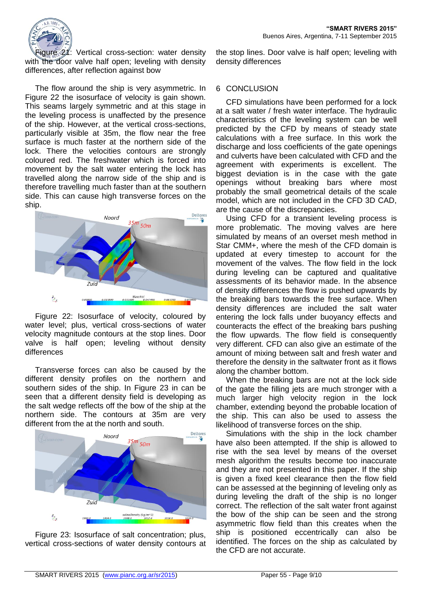

Figure 21: Vertical cross-section: water density with the door valve half open; leveling with density differences, after reflection against bow

The flow around the ship is very asymmetric. In Figure 22 the isosurface of velocity is gain shown. This seams largely symmetric and at this stage in the leveling process is unaffected by the presence of the ship. However, at the vertical cross-sections, particularly visible at 35m, the flow near the free surface is much faster at the northern side of the lock. There the velocities contours are strongly coloured red. The freshwater which is forced into movement by the salt water entering the lock has travelled along the narrow side of the ship and is therefore travelling much faster than at the southern side. This can cause high transverse forces on the ship.



Figure 22: Isosurface of velocity, coloured by water level; plus, vertical cross-sections of water velocity magnitude contours at the stop lines. Door valve is half open; leveling without density differences

Transverse forces can also be caused by the different density profiles on the northern and southern sides of the ship. In Figure 23 in can be seen that a different density field is developing as the salt wedge reflects off the bow of the ship at the northern side. The contours at 35m are very different from the at the north and south.



Figure 23: Isosurface of salt concentration; plus, vertical cross-sections of water density contours at the stop lines. Door valve is half open; leveling with density differences

### 6 CONCLUSION

CFD simulations have been performed for a lock at a salt water / fresh water interface. The hydraulic characteristics of the leveling system can be well predicted by the CFD by means of steady state calculations with a free surface. In this work the discharge and loss coefficients of the gate openings and culverts have been calculated with CFD and the agreement with experiments is excellent. The biggest deviation is in the case with the gate openings without breaking bars where most probably the small geometrical details of the scale model, which are not included in the CFD 3D CAD, are the cause of the discrepancies.

Using CFD for a transient leveling process is more problematic. The moving valves are here simulated by means of an overset mesh method in Star CMM+, where the mesh of the CFD domain is updated at every timestep to account for the movement of the valves. The flow field in the lock during leveling can be captured and qualitative assessments of its behavior made. In the absence of density differences the flow is pushed upwards by the breaking bars towards the free surface. When density differences are included the salt water entering the lock falls under buoyancy effects and counteracts the effect of the breaking bars pushing the flow upwards. The flow field is consequently very different. CFD can also give an estimate of the amount of mixing between salt and fresh water and therefore the density in the saltwater front as it flows along the chamber bottom.

When the breaking bars are not at the lock side of the gate the filling jets are much stronger with a much larger high velocity region in the lock chamber, extending beyond the probable location of the ship. This can also be used to assess the likelihood of transverse forces on the ship.

Simulations with the ship in the lock chamber have also been attempted. If the ship is allowed to rise with the sea level by means of the overset mesh algorithm the results become too inaccurate and they are not presented in this paper. If the ship is given a fixed keel clearance then the flow field can be assessed at the beginning of leveling only as during leveling the draft of the ship is no longer correct. The reflection of the salt water front against the bow of the ship can be seen and the strong asymmetric flow field than this creates when the ship is positioned eccentrically can also be identified. The forces on the ship as calculated by the CFD are not accurate.